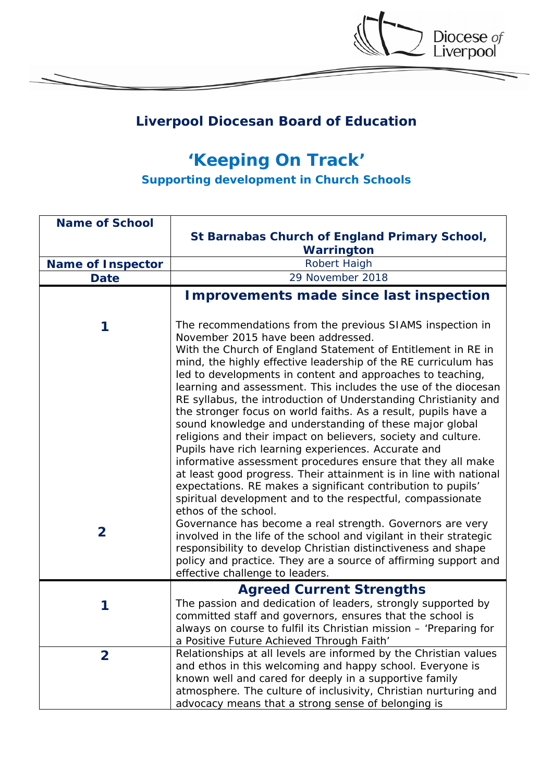

Diocese of<br>Liverpool

## *'Keeping On Track'*

*Supporting development in Church Schools*

| <b>Name of School</b>    |                                                                                                                                                                                                                                                                                                                                                                                                                                                                                                                                                                                                                                                                                                                                                                                                                                                                                                                                                                                     |
|--------------------------|-------------------------------------------------------------------------------------------------------------------------------------------------------------------------------------------------------------------------------------------------------------------------------------------------------------------------------------------------------------------------------------------------------------------------------------------------------------------------------------------------------------------------------------------------------------------------------------------------------------------------------------------------------------------------------------------------------------------------------------------------------------------------------------------------------------------------------------------------------------------------------------------------------------------------------------------------------------------------------------|
|                          | St Barnabas Church of England Primary School,<br>Warrington                                                                                                                                                                                                                                                                                                                                                                                                                                                                                                                                                                                                                                                                                                                                                                                                                                                                                                                         |
| <b>Name of Inspector</b> | Robert Haigh                                                                                                                                                                                                                                                                                                                                                                                                                                                                                                                                                                                                                                                                                                                                                                                                                                                                                                                                                                        |
| <b>Date</b>              | 29 November 2018                                                                                                                                                                                                                                                                                                                                                                                                                                                                                                                                                                                                                                                                                                                                                                                                                                                                                                                                                                    |
|                          | <b>Improvements made since last inspection</b>                                                                                                                                                                                                                                                                                                                                                                                                                                                                                                                                                                                                                                                                                                                                                                                                                                                                                                                                      |
| 1                        | The recommendations from the previous SIAMS inspection in<br>November 2015 have been addressed.<br>With the Church of England Statement of Entitlement in RE in<br>mind, the highly effective leadership of the RE curriculum has<br>led to developments in content and approaches to teaching,<br>learning and assessment. This includes the use of the diocesan<br>RE syllabus, the introduction of Understanding Christianity and<br>the stronger focus on world faiths. As a result, pupils have a<br>sound knowledge and understanding of these major global<br>religions and their impact on believers, society and culture.<br>Pupils have rich learning experiences. Accurate and<br>informative assessment procedures ensure that they all make<br>at least good progress. Their attainment is in line with national<br>expectations. RE makes a significant contribution to pupils'<br>spiritual development and to the respectful, compassionate<br>ethos of the school. |
| $\overline{\mathbf{2}}$  | Governance has become a real strength. Governors are very<br>involved in the life of the school and vigilant in their strategic<br>responsibility to develop Christian distinctiveness and shape<br>policy and practice. They are a source of affirming support and<br>effective challenge to leaders.                                                                                                                                                                                                                                                                                                                                                                                                                                                                                                                                                                                                                                                                              |
|                          | <b>Agreed Current Strengths</b>                                                                                                                                                                                                                                                                                                                                                                                                                                                                                                                                                                                                                                                                                                                                                                                                                                                                                                                                                     |
| 1                        | The passion and dedication of leaders, strongly supported by<br>committed staff and governors, ensures that the school is<br>always on course to fulfil its Christian mission - 'Preparing for<br>a Positive Future Achieved Through Faith'                                                                                                                                                                                                                                                                                                                                                                                                                                                                                                                                                                                                                                                                                                                                         |
| $\mathbf{2}$             | Relationships at all levels are informed by the Christian values<br>and ethos in this welcoming and happy school. Everyone is<br>known well and cared for deeply in a supportive family<br>atmosphere. The culture of inclusivity, Christian nurturing and<br>advocacy means that a strong sense of belonging is                                                                                                                                                                                                                                                                                                                                                                                                                                                                                                                                                                                                                                                                    |